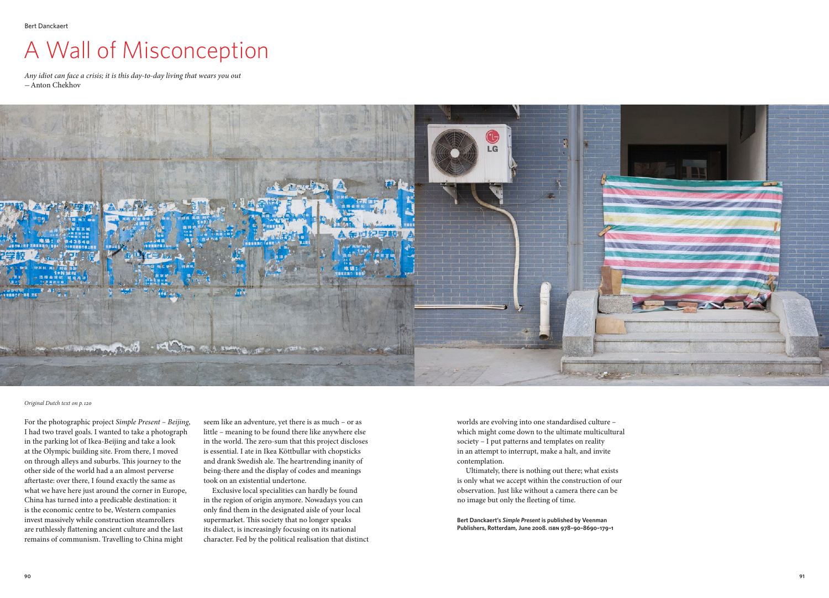## A Wall of Misconception

*Any idiot can face a crisis; it is this day-to-day living that wears you out -*Anton Chekhov



*Original Dutch text on p.120*

For the photographic project *Simple Present – Beijing*, I had two travel goals. I wanted to take a photograph in the parking lot of Ikea-Beijing and take a look at the Olympic building site. From there, I moved on through alleys and suburbs. This journey to the other side of the world had a an almost perverse aftertaste: over there, I found exactly the same as what we have here just around the corner in Europe, China has turned into a predicable destination: it is the economic centre to be, Western companies invest massively while construction steamrollers are ruthlessly flattening ancient culture and the last remains of communism. Travelling to China might

seem like an adventure, yet there is as much – or as little – meaning to be found there like anywhere else in the world. The zero-sum that this project discloses is essential. I ate in Ikea Köttbullar with chopsticks and drank Swedish ale. The heartrending inanity of being-there and the display of codes and meanings took on an existential undertone.

Exclusive local specialities can hardly be found in the region of origin anymore. Nowadays you can only find them in the designated aisle of your local supermarket. This society that no longer speaks its dialect, is increasingly focusing on its national character. Fed by the political realisation that distinct worlds are evolving into one standardised culture – which might come down to the ultimate multicultural society – I put patterns and templates on reality in an attempt to interrupt, make a halt, and invite contemplation.

Ultimately, there is nothing out there; what exists is only what we accept within the construction of our observation. Just like without a camera there can be no image but only the fleeting of time.

**Bert Danckaert's** *Simple Present* **is published by Veenman Publishers, Rotterdam, June 2008. isbn 978–90–8690–179–1**